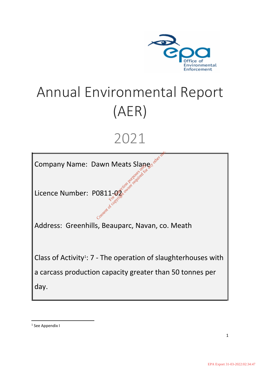

# Annual Environmental Report (AER)

# 2021

Company Name: Dawn Meats Slane Jawn Meats Slanges and the consent

Licence Number: P0811-02<br>تَ<sup>جمِير</sup>َ جَمِيرَ الْكَلِيمِيَّةِ مِنْ الْكَلِيمِيَّةِ مِنْ الْكَلِيمِيَّةِ مِنْ الْكَلِيمِيَّةِ مِنْ الْكَلِيم

Address: Greenhills, Beauparc, Navan, co. Meath

Class of Activity<sup>1</sup>:  $7$  - The operation of slaughterhouses with a carcass production capacity greater than 50 tonnes per day.

1 See Appendix I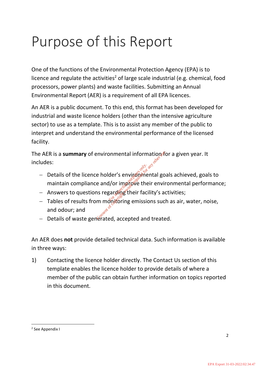# Purpose of this Report

One of the functions of the Environmental Protection Agency (EPA) is to licence and regulate the activities<sup>2</sup> of large scale industrial (e.g. chemical, food processors, power plants) and waste facilities. Submitting an Annual Environmental Report (AER) is a requirement of all EPA licences.

An AER is a public document. To this end, this format has been developed for industrial and waste licence holders (other than the intensive agriculture sector) to use as a template. This is to assist any member of the public to interpret and understand the environmental performance of the licensed facility.

The AER is a **summary** of environmental information for a given year. It includes:

- − Details of the licence holder's environental goals achieved, goals to maintain compliance and/or improve their environmental performance; For imperience holder's environment<br>for imperior inspective the<br>ins regarding their factor in monitoring emission<br>on monitoring emission Environmental informations is<br>
a holder's environmental go.<br>
Le and/or improve their environs regarding their facility's ac<br>
m monitoring emissions such<br>
recated accepted and treate
- − Answers to questions regarding their facility's activities;
- − Tables of results from monitoring emissions such as air, water, noise, and odour; and
- − Details of waste generated, accepted and treated.

An AER does **not** provide detailed technical data. Such information is available in three ways:

1) Contacting the licence holder directly. The Contact Us section of this template enables the licence holder to provide details of where a member of the public can obtain further information on topics reported in this document.

<sup>2</sup> See Appendix I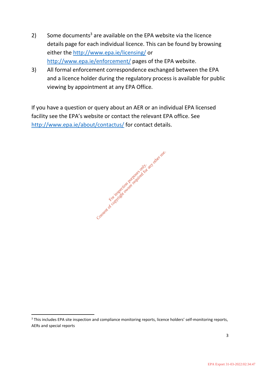- 2) Some documents<sup>3</sup> are available on the EPA website via the licence details page for each individual licence. This can be found by browsing either the<http://www.epa.ie/licensing/> or <http://www.epa.ie/enforcement/> pages of the EPA website.
- 3) All formal enforcement correspondence exchanged between the EPA and a licence holder during the regulatory process is available for public viewing by appointment at any EPA Office.

If you have a question or query about an AER or an individual EPA licensed facility see the EPA's website or contact the relevant EPA office. See <http://www.epa.ie/about/contactus/> for contact details.



<sup>&</sup>lt;sup>3</sup> This includes EPA site inspection and compliance monitoring reports, licence holders' self-monitoring reports, AERs and special reports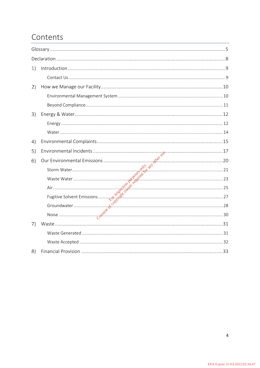# Contents

| 1) |  |
|----|--|
|    |  |
| 2) |  |
|    |  |
|    |  |
| 3) |  |
|    |  |
|    |  |
| 4) |  |
| 5) |  |
| 6) |  |
|    |  |
|    |  |
|    |  |
|    |  |
|    |  |
|    |  |
| 7) |  |
|    |  |
|    |  |
| 8) |  |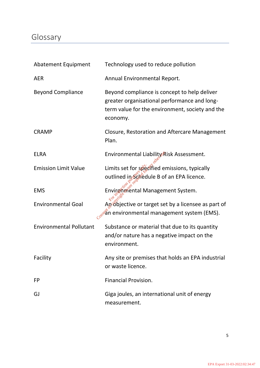# <span id="page-4-0"></span>Glossary

| <b>Abatement Equipment</b>     | Technology used to reduce pollution                                                                                                                         |
|--------------------------------|-------------------------------------------------------------------------------------------------------------------------------------------------------------|
| <b>AER</b>                     | Annual Environmental Report.                                                                                                                                |
| <b>Beyond Compliance</b>       | Beyond compliance is concept to help deliver<br>greater organisational performance and long-<br>term value for the environment, society and the<br>economy. |
| <b>CRAMP</b>                   | Closure, Restoration and Aftercare Management<br>Plan.                                                                                                      |
| <b>ELRA</b>                    | Environmental Liability Risk Assessment.                                                                                                                    |
| <b>Emission Limit Value</b>    | Limits set for specified emissions, typically<br>outlined in Schedule B of an EPA licence.                                                                  |
| <b>EMS</b>                     | Environmental Management System.                                                                                                                            |
| <b>Environmental Goal</b>      | An objective or target set by a licensee as part of<br>cos <sup>s</sup> àn environmental management system (EMS).                                           |
| <b>Environmental Pollutant</b> | Substance or material that due to its quantity<br>and/or nature has a negative impact on the<br>environment.                                                |
| Facility                       | Any site or premises that holds an EPA industrial<br>or waste licence.                                                                                      |
| <b>FP</b>                      | <b>Financial Provision.</b>                                                                                                                                 |
| GJ                             | Giga joules, an international unit of energy<br>measurement.                                                                                                |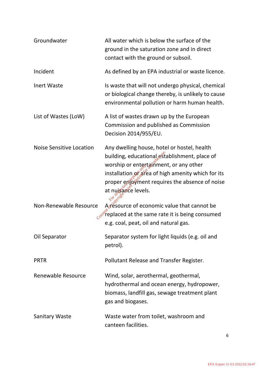| Groundwater                     | All water which is below the surface of the<br>ground in the saturation zone and in direct<br>contact with the ground or subsoil.                                                                                                                                     |
|---------------------------------|-----------------------------------------------------------------------------------------------------------------------------------------------------------------------------------------------------------------------------------------------------------------------|
| Incident                        | As defined by an EPA industrial or waste licence.                                                                                                                                                                                                                     |
| <b>Inert Waste</b>              | Is waste that will not undergo physical, chemical<br>or biological change thereby, is unlikely to cause<br>environmental pollution or harm human health.                                                                                                              |
| List of Wastes (LoW)            | A list of wastes drawn up by the European<br>Commission and published as Commission<br>Decision 2014/955/EU.                                                                                                                                                          |
| <b>Noise Sensitive Location</b> | Any dwelling house, hotel or hostel, health<br>building, educational establishment, place of<br>worship or entertainment, or any other<br>installation or area of high amenity which for its<br>proper enjoyment requires the absence of noise<br>at nuisance levels. |
| Non-Renewable Resource          | As esource of economic value that cannot be<br>replaced at the same rate it is being consumed<br>e.g. coal, peat, oil and natural gas.                                                                                                                                |
| Oil Separator                   | Separator system for light liquids (e.g. oil and<br>petrol).                                                                                                                                                                                                          |
| <b>PRTR</b>                     | Pollutant Release and Transfer Register.                                                                                                                                                                                                                              |
| Renewable Resource              | Wind, solar, aerothermal, geothermal,<br>hydrothermal and ocean energy, hydropower,<br>biomass, landfill gas, sewage treatment plant<br>gas and biogases.                                                                                                             |
| <b>Sanitary Waste</b>           | Waste water from toilet, washroom and<br>canteen facilities.                                                                                                                                                                                                          |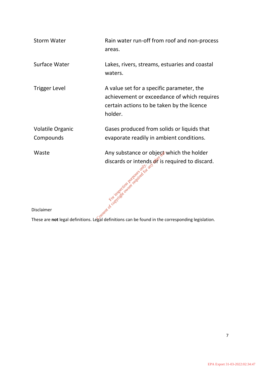| <b>Storm Water</b>                                                                              | Rain water run-off from roof and non-process<br>areas.                                                                                            |  |
|-------------------------------------------------------------------------------------------------|---------------------------------------------------------------------------------------------------------------------------------------------------|--|
| Surface Water                                                                                   | Lakes, rivers, streams, estuaries and coastal<br>waters.                                                                                          |  |
| <b>Trigger Level</b>                                                                            | A value set for a specific parameter, the<br>achievement or exceedance of which requires<br>certain actions to be taken by the licence<br>holder. |  |
| <b>Volatile Organic</b>                                                                         | Gases produced from solids or liquids that                                                                                                        |  |
| Compounds                                                                                       | evaporate readily in ambient conditions.                                                                                                          |  |
| Waste                                                                                           | Any substance or object which the holder                                                                                                          |  |
|                                                                                                 | discards or intends of is required to discard.<br>$\delta^{\alpha}$<br>Feort of construction particular to order to                               |  |
| Disclaimer                                                                                      |                                                                                                                                                   |  |
| These are not legal definitions Legal definitions can be found in the corresponding legislation |                                                                                                                                                   |  |

These are **not** legal definitions. Legal definitions can be found in the corresponding legislation.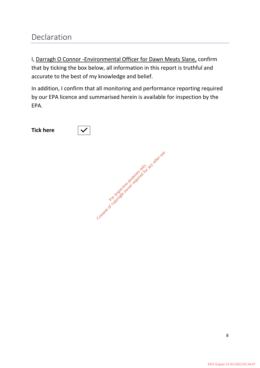# <span id="page-7-0"></span>Declaration

I, Darragh O Connor -Environmental Officer for Dawn Meats Slane, confirm that by ticking the box below, all information in this report is truthful and accurate to the best of my knowledge and belief.

In addition, I confirm that all monitoring and performance reporting required by our EPA licence and summarised herein is available for inspection by the EPA.

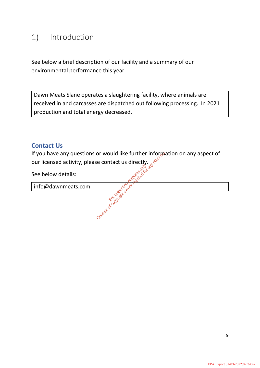<span id="page-8-0"></span>See below a brief description of our facility and a summary of our environmental performance this year.

Dawn Meats Slane operates a slaughtering facility, where animals are received in and carcasses are dispatched out following processing. In 2021 production and total energy decreased.

# <span id="page-8-1"></span>**Contact Us**

If you have any questions or would like further information on any aspect of our licensed activity, please contact us directly.<br>See below details: our licensed activity, please contact us directly. or would like further information of the second to the copyright of any other required for any other required for any other required for any other required for any other required for any other required for any other requir

See below details:

info@dawnmeats.com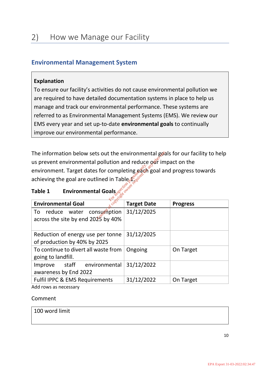# <span id="page-9-1"></span><span id="page-9-0"></span>**Environmental Management System**

# **Explanation**

To ensure our facility's activities do not cause environmental pollution we are required to have detailed documentation systems in place to help us manage and track our environmental performance. These systems are referred to as Environmental Management Systems (EMS). We review our EMS every year and set up-to-date **environmental goals** to continually improve our environmental performance.

The information below sets out the environmental goals for our facility to help us prevent environmental pollution and reduce our impact on the environment. Target dates for completing each goal and progress towards achieving the goal are outlined in Table  $\mathbb{R}^{\mathbb{R}^{\times}}$ For completing each<br>Experiment in Table 1.<br>
For the second purpose of the conduction purpose<br>
Farget D<br>
msumption 31/12/20 Consent of copyright owner required for any other use.

# **Table 1 Environmental Goals**

| <b>Environmental Goal</b>                                                 | <b>Target Date</b> | <b>Progress</b> |
|---------------------------------------------------------------------------|--------------------|-----------------|
| consumption<br>reduce water<br>To<br>across the site by end $2025$ by 40% | 31/12/2025         |                 |
| Reduction of energy use per tonne<br>of production by 40% by 2025         | 31/12/2025         |                 |
| To continue to divert all waste from<br>going to landfill.                | Ongoing            | On Target       |
| Improve staff environmental<br>awareness by End 2022                      | 31/12/2022         |                 |
| <b>Fulfil IPPC &amp; EMS Requirements</b>                                 | 31/12/2022         | On Target       |
| Add rows as nacassary                                                     |                    |                 |

Add rows as necessary

## Comment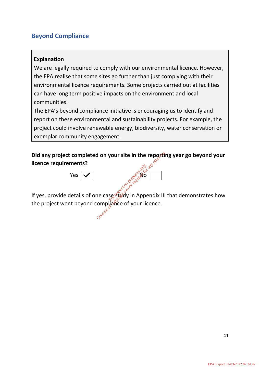# <span id="page-10-0"></span>**Beyond Compliance**

# **Explanation**

We are legally required to comply with our environmental licence. However, the EPA realise that some sites go further than just complying with their environmental licence requirements. Some projects carried out at facilities can have long term positive impacts on the environment and local communities.

The EPA's beyond compliance initiative is encouraging us to identify and report on these environmental and sustainability projects. For example, the project could involve renewable energy, biodiversity, water conservation or exemplar community engagement.

**Did any project completed on your site in the reporting year go beyond your licence requirements?**



If yes, provide details of one case study in Appendix III that demonstrates how the project went beyond compliance of your licence.<br> $\frac{1}{2}$ **For instead on your site in the report<br>in the report of any other contracts on any other consent of your licence.**<br>Consented for any other compliance of your licence.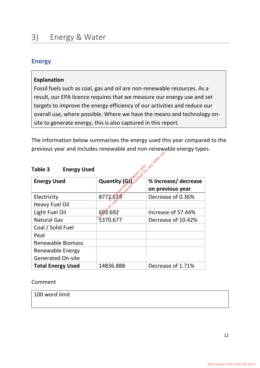# <span id="page-11-1"></span><span id="page-11-0"></span>**Energy**

# **Explanation**

Fossil fuels such as coal, gas and oil are non-renewable resources. As a result, our EPA licence requires that we measure our energy use and set targets to improve the energy efficiency of our activities and reduce our overall use, where possible. Where we have the means and technology onsite to generate energy, this is also captured in this report.

The information below summarises the energy used this year compared to the previous year and includes renewable and non-renewable energy types.

| providus your and includes renowable and non-renowable energy type |                           |                      |  |
|--------------------------------------------------------------------|---------------------------|----------------------|--|
|                                                                    |                           |                      |  |
| Table 3<br><b>Energy Used</b>                                      | Posted for any other use. |                      |  |
| <b>Energy Used</b>                                                 | <b>Quantity (Gi</b>       | % Increase/ decrease |  |
|                                                                    |                           | on previous year     |  |
| Electricity                                                        | 87725                     | Decrease of 0.36%    |  |
| <b>Heavy Fuel Oil</b>                                              |                           |                      |  |
| Light Fuel Oil                                                     | 693.692                   | Increase of 57.44%   |  |
| <b>Natural Gas</b>                                                 | 5370.677                  | Decrease of 10.42%   |  |
| Coal / Solid Fuel                                                  |                           |                      |  |
| Peat                                                               |                           |                      |  |
| <b>Renewable Biomass</b>                                           |                           |                      |  |
| Renewable Energy                                                   |                           |                      |  |
| <b>Generated On-site</b>                                           |                           |                      |  |
| <b>Total Energy Used</b>                                           | 14836.888                 | Decrease of 1.71%    |  |

# **Table 3 Energy Used**

Comment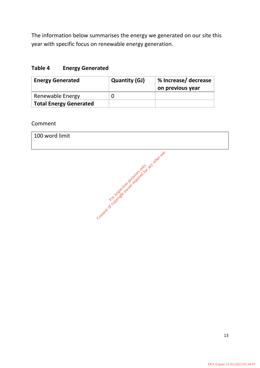The information below summarises the energy we generated on our site this year with specific focus on renewable energy generation.

# **Table 4 Energy Generated**

| <b>Energy Generated</b>       | <b>Quantity (GJ)</b> | % Increase/ decrease<br>on previous year |
|-------------------------------|----------------------|------------------------------------------|
| <b>Renewable Energy</b>       |                      |                                          |
| <b>Total Energy Generated</b> |                      |                                          |

Comment

| 100 word limit |                                                            |
|----------------|------------------------------------------------------------|
|                | Context of co. With Booking and the action and directively |
|                |                                                            |
|                |                                                            |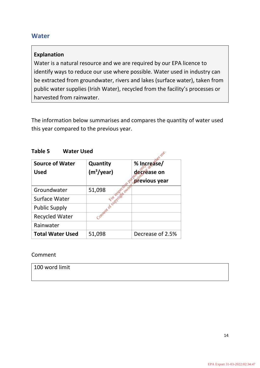# <span id="page-13-0"></span>**Water**

# **Explanation**

Water is a natural resource and we are required by our EPA licence to identify ways to reduce our use where possible. Water used in industry can be extracted from groundwater, rivers and lakes (surface water), taken from public water supplies (Irish Water), recycled from the facility's processes or harvested from rainwater.

The information below summarises and compares the quantity of water used this year compared to the previous year.

| <b>Water Used</b><br>Table 5 |
|------------------------------|
|------------------------------|

| LANIE J<br><i><b>VVALEI USEU</b></i> |                        |                  |  |
|--------------------------------------|------------------------|------------------|--|
| <b>Source of Water</b>               | Quantity               | % Increase/      |  |
| <b>Used</b>                          | (m <sup>3</sup> /year) | decrease on      |  |
|                                      |                        | previous year    |  |
| Groundwater                          | 51,098                 |                  |  |
| Surface Water                        |                        |                  |  |
| <b>Public Supply</b>                 | · pregntation          |                  |  |
| <b>Recycled Water</b>                |                        |                  |  |
| Rainwater                            |                        |                  |  |
| <b>Total Water Used</b>              | 51,098                 | Decrease of 2.5% |  |

Comment

| 100 word limit |  |  |
|----------------|--|--|
|                |  |  |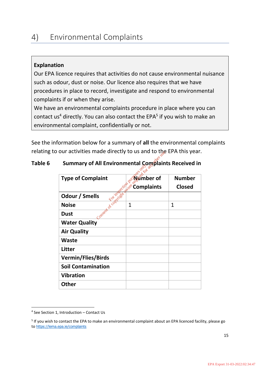#### <span id="page-14-0"></span>Environmental Complaints  $4)$

# **Explanation**

Our EPA licence requires that activities do not cause environmental nuisance such as odour, dust or noise. Our licence also requires that we have procedures in place to record, investigate and respond to environmental complaints if or when they arise.

We have an environmental complaints procedure in place where you can contact us<sup>4</sup> directly. You can also contact the EPA<sup>5</sup> if you wish to make an environmental complaint, confidentially or not.

See the information below for a summary of **all** the environmental complaints relating to our activities made directly to us and to the EPA this year.

# **Table 6 Summary of All Environmental Complaints Received in**

| <b>Type of Complaint</b>                     | kîmber of         | <b>Number</b> |
|----------------------------------------------|-------------------|---------------|
|                                              | <b>Complaints</b> | <b>Closed</b> |
| Consert of Optimized Price<br>Odour / Smells |                   |               |
| <b>Noise</b>                                 |                   | $\mathbf{1}$  |
| <b>Dust</b>                                  |                   |               |
| <b>Water Quality</b>                         |                   |               |
| <b>Air Quality</b>                           |                   |               |
| <b>Waste</b>                                 |                   |               |
| <b>Litter</b>                                |                   |               |
| <b>Vermin/Flies/Birds</b>                    |                   |               |
| <b>Soil Contamination</b>                    |                   |               |
| <b>Vibration</b>                             |                   |               |
| <b>Other</b>                                 |                   |               |

<sup>4</sup> See Section 1, Introduction – Contact Us

<sup>&</sup>lt;sup>5</sup> If you wish to contact the EPA to make an environmental complaint about an EPA licenced facility, please go to <https://lema.epa.ie/complaints>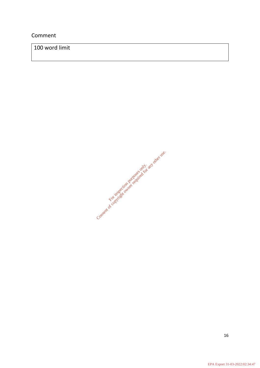# Comment

100 word limit

Consent of cor inspection purposes only. and other use.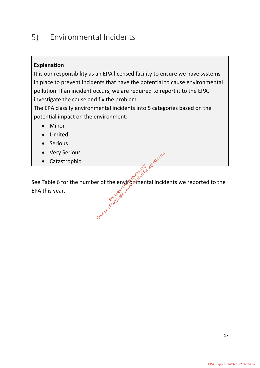#### <span id="page-16-0"></span> $5)$ Environmental Incidents

# **Explanation**

It is our responsibility as an EPA licensed facility to ensure we have systems in place to prevent incidents that have the potential to cause environmental pollution. If an incident occurs, we are required to report it to the EPA, investigate the cause and fix the problem.

The EPA classify environmental incidents into 5 categories based on the potential impact on the environment:

- Minor
- Limited
- **Serious**
- **Very Serious**
- Catastrophic

See Table 6 for the number of the environmental incidents we reported to the EPA this year. Consent of copyright owner required for any other any other limits of consent of copyright owner required for any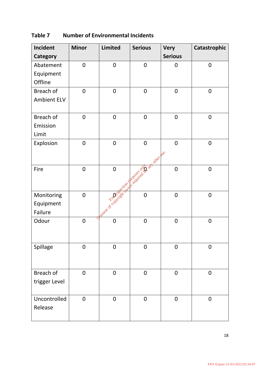| Incident           | <b>Minor</b>   | <b>Limited</b> | <b>Serious</b>                                       | <b>Very</b>    | Catastrophic   |
|--------------------|----------------|----------------|------------------------------------------------------|----------------|----------------|
| <b>Category</b>    |                |                |                                                      | <b>Serious</b> |                |
| Abatement          | $\mathbf 0$    | $\mathbf 0$    | $\mathbf 0$                                          | $\mathbf 0$    | $\mathbf 0$    |
| Equipment          |                |                |                                                      |                |                |
| Offline            |                |                |                                                      |                |                |
| Breach of          | $\mathbf 0$    | $\mathbf 0$    | $\mathbf 0$                                          | $\mathbf 0$    | $\mathbf 0$    |
| <b>Ambient ELV</b> |                |                |                                                      |                |                |
|                    |                |                |                                                      |                |                |
| Breach of          | $\mathbf 0$    | $\mathbf 0$    | $\mathbf 0$                                          | $\mathbf 0$    | $\mathbf 0$    |
| Emission           |                |                |                                                      |                |                |
| Limit              |                |                |                                                      |                |                |
| Explosion          | $\mathbf 0$    | $\mathbf 0$    | $\mathbf 0$                                          | $\mathbf 0$    | $\mathbf 0$    |
|                    |                |                |                                                      |                |                |
|                    |                |                |                                                      |                |                |
| Fire               | $\mathbf 0$    |                |                                                      | $\mathbf 0$    | $\mathbf 0$    |
|                    |                |                |                                                      |                |                |
|                    |                |                | meant of coopyright with the division and other beef |                |                |
| Monitoring         | $\mathbf 0$    |                |                                                      | $\overline{0}$ | $\mathbf 0$    |
| Equipment          |                |                |                                                      |                |                |
| Failure            |                |                |                                                      |                |                |
| Odour              | $\mathbf 0$    | $\mathbf 0$    | $\mathbf 0$                                          | $\mathbf 0$    | $\mathbf 0$    |
|                    |                |                |                                                      |                |                |
|                    |                |                |                                                      |                |                |
| Spillage           | $\overline{0}$ | $\mathbf 0$    | $\overline{0}$                                       | $\overline{0}$ | $\overline{0}$ |
|                    |                |                |                                                      |                |                |
|                    |                |                |                                                      |                |                |
| Breach of          | $\mathbf 0$    | $\mathbf 0$    | $\overline{0}$                                       | $\mathbf 0$    | $\mathbf 0$    |
| trigger Level      |                |                |                                                      |                |                |
|                    |                |                |                                                      |                |                |
| Uncontrolled       | $\overline{0}$ | $\mathbf 0$    | $\overline{0}$                                       | $\overline{0}$ | $\mathbf 0$    |
| Release            |                |                |                                                      |                |                |
|                    |                |                |                                                      |                |                |

# **Table 7 Number of Environmental Incidents**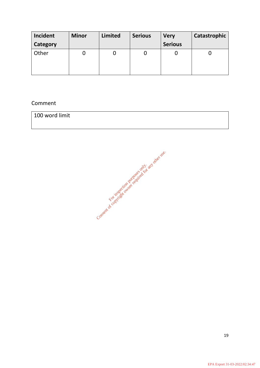| Incident | <b>Minor</b> | <b>Limited</b> | <b>Serious</b> | <b>Very</b>    | Catastrophic |
|----------|--------------|----------------|----------------|----------------|--------------|
| Category |              |                |                | <b>Serious</b> |              |
| Other    |              |                |                |                |              |

# Comment

| 100 word limit |  |  |
|----------------|--|--|
|                |  |  |

Consent of cor inspection purposes only. and other use.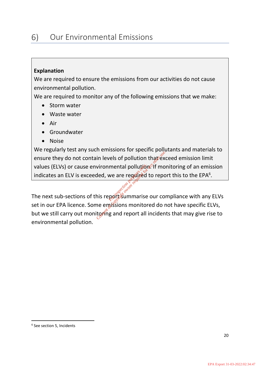# <span id="page-19-0"></span>**Explanation**

We are required to ensure the emissions from our activities do not cause environmental pollution.

We are required to monitor any of the following emissions that we make:

- Storm water
- Waste water
- Air
- **Groundwater**
- Noise

We regularly test any such emissions for specific pollutants and materials to ensure they do not contain levels of pollution that exceed emission limit values (ELVs) or cause environmental pollution. If monitoring of an emission indicates an ELV is exceeded, we are reguived to report this to the EPA $6$ . but we still carry out monitoring and report all incidents that may give rise to the EPA licence. Some emissions monitored do not have specific ELVs,<br>but we still carry out monitoring and report all incidents that may give

The next sub-sections of this reported marise our compliance with any ELVs set in our EPA licence. Some emissions monitored do not have specific ELVs, environmental pollution.

<sup>6</sup> See section 5, Incidents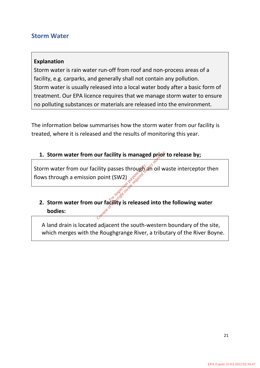# <span id="page-20-0"></span>**Storm Water**

# **Explanation**

Storm water is rain water run-off from roof and non-process areas of a facility, e.g. carparks, and generally shall not contain any pollution. Storm water is usually released into a local water body after a basic form of treatment. Our EPA licence requires that we manage storm water to ensure no polluting substances or materials are released into the environment.

The information below summarises how the storm water from our facility is treated, where it is released and the results of monitoring this year.

# **1.** Storm water from our facility is managed prior to release by;

Storm water from our facility passes through an oil waste interceptor then<br>
flows through a emission point (SW2)<br>
2. Storm water from our facility is released into the following water<br>
bodies: flows through a emission point (SW2) our facility is managed prior<br>Consent of consenting the control of any other<br>point (SW2) and consent of a property of any other use.<br>Society is released into the consent of the consent of the consent of the consent of the

# **2. Storm water from our facility is released into the following water bodies:**

A land drain is located adjacent the south-western boundary of the site, which merges with the Roughgrange River, a tributary of the River Boyne.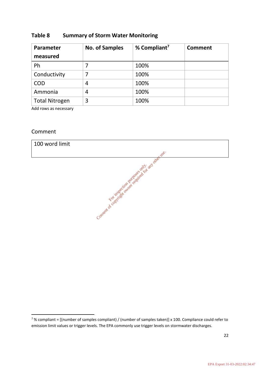## **Table 8 Summary of Storm Water Monitoring**

| Parameter<br>measured | <b>No. of Samples</b> | % Compliant <sup>7</sup> | <b>Comment</b> |
|-----------------------|-----------------------|--------------------------|----------------|
| Ph                    |                       | 100%                     |                |
| Conductivity          |                       | 100%                     |                |
| <b>COD</b>            | 4                     | 100%                     |                |
| Ammonia               | 4                     | 100%                     |                |
| <b>Total Nitrogen</b> | 3                     | 100%                     |                |

Add rows as necessary

#### Comment



 $7\%$  compliant = [(number of samples compliant) / (number of samples taken)] x 100. Compliance could refer to emission limit values or trigger levels. The EPA commonly use trigger levels on stormwater discharges.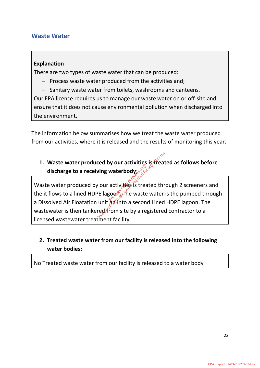# <span id="page-22-0"></span>**Waste Water**

# **Explanation**

There are two types of waste water that can be produced:

- − Process waste water produced from the activities and;
- − Sanitary waste water from toilets, washrooms and canteens.

Our EPA licence requires us to manage our waste water on or off-site and ensure that it does not cause environmental pollution when discharged into the environment.

The information below summarises how we treat the waste water produced from our activities, where it is released and the results of monitoring this year.

# **1. Waste water produced by our activities is treated as follows before discharge to a receiving waterbody**;

Waste water produced by our activities is treated through 2 screeners and the it flows to a lined HDPE lagoon. The waste water is the pumped through a Dissolved Air Floatation unit an into a second Lined HDPE lagoon. The wastewater is then tankered from site by a registered contractor to a licensed wastewater treatment facility iving waterbody.<br>
iving waterbody.<br>
w our activities is treated to the vaster<br>
PE lagoon. The waster<br>
in unit an into a seconred from site by a re Conserved by our activities is treat<br>
ving waterbody:<br>
y our activities is treated three<br>
PE lagoon. The waste water is<br>
unit any into a second Lined<br>
red from site by a registered

# **2. Treated waste water from our facility is released into the following water bodies:**

No Treated waste water from our facility is released to a water body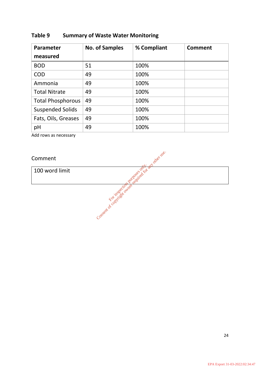# **Table 9 Summary of Waste Water Monitoring**

| <b>Parameter</b>         | <b>No. of Samples</b> | % Compliant | <b>Comment</b> |
|--------------------------|-----------------------|-------------|----------------|
| measured                 |                       |             |                |
| <b>BOD</b>               | 51                    | 100%        |                |
| <b>COD</b>               | 49                    | 100%        |                |
| Ammonia                  | 49                    | 100%        |                |
| <b>Total Nitrate</b>     | 49                    | 100%        |                |
| <b>Total Phosphorous</b> | 49                    | 100%        |                |
| <b>Suspended Solids</b>  | 49                    | 100%        |                |
| Fats, Oils, Greases      | 49                    | 100%        |                |
| pH                       | 49                    | 100%        |                |

Consent of copyright owner currences only. and other use.

Add rows as necessary

Comment

100 word limit

24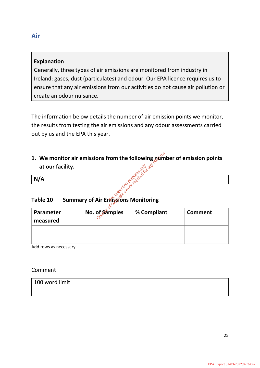# <span id="page-24-0"></span>**Explanation**

Generally, three types of air emissions are monitored from industry in Ireland: gases, dust (particulates) and odour. Our EPA licence requires us to ensure that any air emissions from our activities do not cause air pollution or create an odour nuisance.

The information below details the number of air emission points we monitor, the results from testing the air emissions and any odour assessments carried out by us and the EPA this year.

**1. We monitor air emissions from the following number of emission points at our facility.** ons from the following num<br>
Explorations Monitoring<br>
of Samples 80 Compliant

# **Table 10 Summary of Air Emissions Monitoring**

| at our facility.                                       |                | $\infty$    |                |  |  |
|--------------------------------------------------------|----------------|-------------|----------------|--|--|
| N/A                                                    |                |             |                |  |  |
| <b>Summary of Air Emissions Monitoring</b><br>Table 10 |                |             |                |  |  |
| Parameter<br>measured                                  | No. of Samples | % Compliant | <b>Comment</b> |  |  |
|                                                        |                |             |                |  |  |
|                                                        |                |             |                |  |  |

Add rows as necessary

## Comment

| 100 word limit |  |  |
|----------------|--|--|
|                |  |  |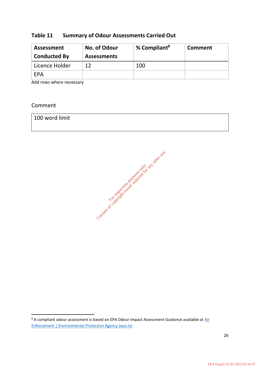# **Table 11 Summary of Odour Assessments Carried Out**

| <b>Assessment</b><br><b>Conducted By</b> | No. of Odour<br><b>Assessments</b> | % Compliant <sup>8</sup> | Comment |
|------------------------------------------|------------------------------------|--------------------------|---------|
| Licence Holder                           | 12                                 | 100                      |         |
| EPA                                      |                                    |                          |         |

Add rows where necessary

## Comment



 $8$  A compliant odour assessment is based on EPA Odour Impact Assessment Guidance available at  $\underline{\mathrm{Air}}$ [Enforcement | Environmental Protection Agency \(epa.ie\)](https://www.epa.ie/our-services/compliance--enforcement/air/air-enforcement/)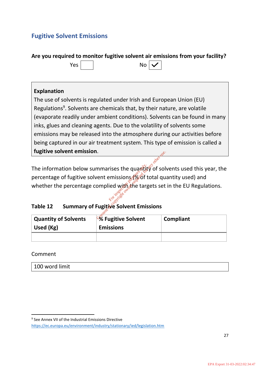# <span id="page-26-0"></span>**Fugitive Solvent Emissions**

**Are you required to monitor fugitive solvent air emissions from your facility?**



# **Explanation**

The use of solvents is regulated under Irish and European Union (EU) Regulations<sup>9</sup>. Solvents are chemicals that, by their nature, are volatile (evaporate readily under ambient conditions). Solvents can be found in many inks, glues and cleaning agents. Due to the volatility of solvents some emissions may be released into the atmosphere during our activities before being captured in our air treatment system. This type of emission is called a **fugitive solvent emission**.

The information below summarises the quantity of solvents used this year, the percentage of fugitive solvent emissions (% of total quantity used) and whether the percentage complied with the targets set in the EU Regulations. mmarises the quantity<br>vent emissions (% of<br>complied with the target<br>Fugitive Solvent Emis Conserved to the quantity of solvent emissions (% of total quantity of solvent of conserved for any other requires  $\frac{1}{2}$  and  $\frac{1}{2}$  and  $\frac{1}{2}$  and  $\frac{1}{2}$  and  $\frac{1}{2}$  and  $\frac{1}{2}$  and  $\frac{1}{2}$  and  $\frac{1}{2}$ 

# **Table 12 Summary of Fugitive Solvent Emissions**

| <b>Quantity of Solvents</b><br>Used (Kg) | <b>S</b> Fugitive Solvent<br><b>Emissions</b> | Compliant |
|------------------------------------------|-----------------------------------------------|-----------|
|                                          |                                               |           |

Comment

<sup>&</sup>lt;sup>9</sup> See Annex VII of the Industrial Emissions Directive

<https://ec.europa.eu/environment/industry/stationary/ied/legislation.htm>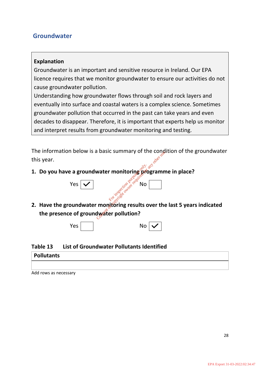# <span id="page-27-0"></span>**Groundwater**

# **Explanation**

Groundwater is an important and sensitive resource in Ireland. Our EPA licence requires that we monitor groundwater to ensure our activities do not cause groundwater pollution.

Understanding how groundwater flows through soil and rock layers and eventually into surface and coastal waters is a complex science. Sometimes groundwater pollution that occurred in the past can take years and even decades to disappear. Therefore, it is important that experts help us monitor and interpret results from groundwater monitoring and testing.

The information below is a basic summary of the condition of the groundwater this year.

**1. Do you have a groundwater monitoring programme in place?** 



**2. Have the groundwater monitoring results over the last 5 years indicated the presence of groundwater pollution? Example 2** The conservation purposes on the conservation purposes of conservation purposes on the diversion pollution?



**Table 13 List of Groundwater Pollutants Identified**



Add rows as necessary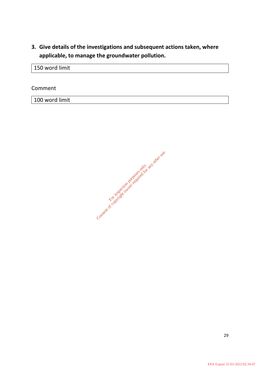**3. Give details of the investigations and subsequent actions taken, where applicable, to manage the groundwater pollution.**

150 word limit

Comment

100 word limit

Consent of cor inspection purposes only. and other use.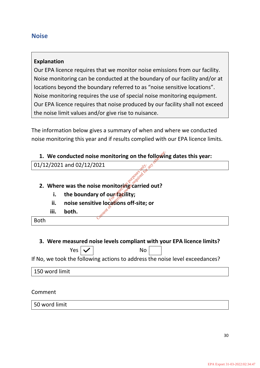# <span id="page-29-0"></span>**Noise**

# **Explanation**

Our EPA licence requires that we monitor noise emissions from our facility. Noise monitoring can be conducted at the boundary of our facility and/or at locations beyond the boundary referred to as "noise sensitive locations". Noise monitoring requires the use of special noise monitoring equipment. Our EPA licence requires that noise produced by our facility shall not exceed the noise limit values and/or give rise to nuisance.

The information below gives a summary of when and where we conducted noise monitoring this year and if results complied with our EPA licence limits.

## **1. We conducted noise monitoring on the following dates this year:**

| 01/12/2021 and 02/12/2021 |  |
|---------------------------|--|
|---------------------------|--|

# **2. Where was the noise monitoring carried out? Example 12 and 2011**<br>
Conserved on the following<br>
Second to the conserved out?<br>
Any of our facility;<br>
ve locations off-site; or

- **i.** the boundary of our facility;
- **ii. noise sensitive locations off-site; or** For inspection purposes only.
- **iii. both.**

Both

# **3. Were measured noise levels compliant with your EPA licence limits?**

 $Yes | √ |$  No

If No, we took the following actions to address the noise level exceedances?

| 150 word limit |  |
|----------------|--|
|----------------|--|

Comment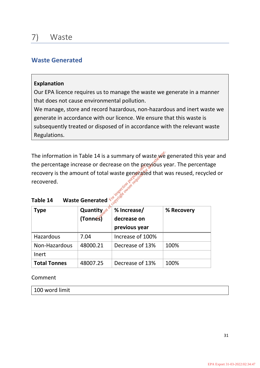# <span id="page-30-1"></span><span id="page-30-0"></span>**Waste Generated**

## **Explanation**

Our EPA licence requires us to manage the waste we generate in a manner that does not cause environmental pollution.

We manage, store and record hazardous, non-hazardous and inert waste we generate in accordance with our licence. We ensure that this waste is subsequently treated or disposed of in accordance with the relevant waste Regulations.

The information in Table 14 is a summary of waste we generated this year and the percentage increase or decrease on the previous year. The percentage recovery is the amount of total waste generated that was reused, recycled or recovered. **Example 2 Increase on the previous of total waste generated that v**<br>
For inspection purposes on the previous y<br>
Consent of consenting on the consenting of consenting of consenting of the consenting of the consenting of th

| Table 14 |  | Waste Generated $\frac{e^{C}}{C}$ |  |
|----------|--|-----------------------------------|--|
|          |  |                                   |  |

| Type                | <b>Quantity</b>           | % Increase/      | % Recovery |
|---------------------|---------------------------|------------------|------------|
|                     | $(Tonn \hat{\mathbf{s}})$ | decrease on      |            |
|                     |                           | previous year    |            |
| Hazardous           | 7.04                      | Increase of 100% |            |
| Non-Hazardous       | 48000.21                  | Decrease of 13%  | 100%       |
| Inert               |                           |                  |            |
| <b>Total Tonnes</b> | 48007.25                  | Decrease of 13%  | 100%       |

## Comment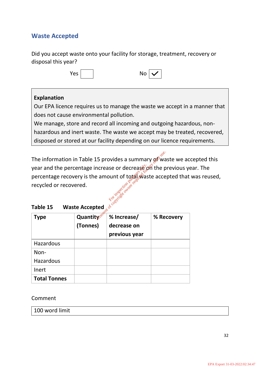# <span id="page-31-0"></span>**Waste Accepted**

Did you accept waste onto your facility for storage, treatment, recovery or disposal this year?

| ۵۵′ | <b>No</b> | $\sqrt{}$ |  |
|-----|-----------|-----------|--|
|     |           |           |  |

# **Explanation**

Our EPA licence requires us to manage the waste we accept in a manner that does not cause environmental pollution.

We manage, store and record all incoming and outgoing hazardous, nonhazardous and inert waste. The waste we accept may be treated, recovered, disposed or stored at our facility depending on our licence requirements.

The information in Table 15 provides a summary  $\mathbb{R}^3$  waste we accepted this year and the percentage increase or decrease on the previous year. The percentage recovery is the amount of total waste accepted that was reused, recycled or recovered. 15 provides a summary of ward increase or decrease on the purpose of the purpose of the purpose of  $\frac{1}{2}$  and  $\frac{1}{2}$  and  $\frac{1}{2}$  and  $\frac{1}{2}$  and  $\frac{1}{2}$  and  $\frac{1}{2}$  and  $\frac{1}{2}$  and  $\frac{1}{2}$  and  $\frac{1}{2}$ 

| Table 15 |  | <b>Waste Accepted</b> |
|----------|--|-----------------------|
|----------|--|-----------------------|

| Type                | Quantity <sup>ss</sup><br>(Tonnes) | % Increase/<br>decrease on<br>previous year | % Recovery |
|---------------------|------------------------------------|---------------------------------------------|------------|
| Hazardous           |                                    |                                             |            |
| Non-                |                                    |                                             |            |
| <b>Hazardous</b>    |                                    |                                             |            |
| Inert               |                                    |                                             |            |
| <b>Total Tonnes</b> |                                    |                                             |            |

Comment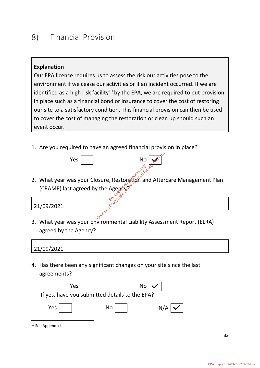#### <span id="page-32-0"></span>8) Financial Provision

# **Explanation**

Our EPA licence requires us to assess the risk our activities pose to the environment if we cease our activities or if an incident occurred. If we are identified as a high risk facility<sup>10</sup> by the EPA, we are required to put provision in place such as a financial bond or insurance to cover the cost of restoring our site to a satisfactory condition. This financial provision can then be used to cover the cost of managing the restoration or clean up should such an event occur.

1. Are you required to have an agreed financial provision in place?



2. What year was your Closure, Restoration and Aftercare Management Plan (CRAMP) last agreed by the Agency? **Solution Purpose only.**<br> **Sure, Restoration and the Agency of Strategy**<br>
The Agency of Strategy on the Agency of Strategy<br>
Strategy of Strategy of Strategy of Strategy of Strategy of Strategy of Strategy of Strategy of St

21/09/2021

3. What year was your Environmental Liability Assessment Report (ELRA) agreed by the Agency?

## 21/09/2021

4. Has there been any significant changes on your site since the last agreements?



<sup>10</sup> See Appendix II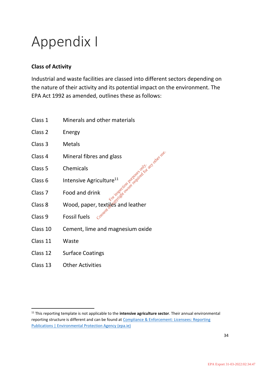# Appendix I

# **Class of Activity**

Industrial and waste facilities are classed into different sectors depending on the nature of their activity and its potential impact on the environment. The EPA Act 1992 as amended, outlines these as follows:

- Class 1 Minerals and other materials
- Class 2 Energy
- Class 3 Metals
- Class 4 Mineral fibres and glass
- Class 5 Chemicals
- Class 6 Intensive Agriculture<sup>11</sup>
- Class 7 Food and drink
- Class 8 Wood, paper, textiles and leather<br>Class 9 Fossil fueld and Section 2016 **Sand glass**<br>Ficulture<sup>11</sup><br>Ink<br>Consent of compact only to any other<br>Consent only only and leather<br>Consent
- Class 9 Fossil fuels
- Class 10 Cement, lime and magnesium oxide
- Class 11 Waste
- Class 12 Surface Coatings
- Class 13 Other Activities

<sup>11</sup> This reporting template is not applicable to the **intensive agriculture sector**. Their annual environmental reporting structure is different and can be found a[t Compliance & Enforcement: Licensees: Reporting](https://www.epa.ie/publications/compliance--enforcement/licensees/reporting/annual-environmental-report-aer-guidance-and-templates.php)  [Publications | Environmental Protection Agency \(epa.ie\)](https://www.epa.ie/publications/compliance--enforcement/licensees/reporting/annual-environmental-report-aer-guidance-and-templates.php)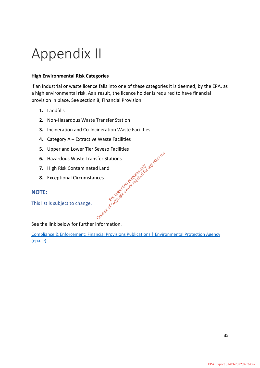# Appendix II

#### **High Environmental Risk Categories**

If an industrial or waste licence falls into one of these categories it is deemed, by the EPA, as a high environmental risk. As a result, the licence holder is required to have financial provision in place. See section 8, Financial Provision.

- **1.** Landfills
- **2.** Non-Hazardous Waste Transfer Station
- **3.** Incineration and Co-Incineration Waste Facilities
- **4.** Category A Extractive Waste Facilities
- **5.** Upper and Lower Tier Seveso Facilities
- **6.** Hazardous Waste Transfer Stations sfer Stations<br>d Land<br>nces<br>consent of copyright owner required for any other<br>consent of copyright owner required for any
- **7.** High Risk Contaminated Land
- **8.** Exceptional Circumstances

#### **NOTE:**

This list is subject to change.

See the link below for further information.

[Compliance & Enforcement: Financial Provisions Publications | Environmental Protection Agency](https://www.epa.ie/publications/compliance--enforcement/licensees/reporting/financial-provisions/guidance-on-financial-provision-for-environmental-liabilities.php)  [\(epa.ie\)](https://www.epa.ie/publications/compliance--enforcement/licensees/reporting/financial-provisions/guidance-on-financial-provision-for-environmental-liabilities.php)